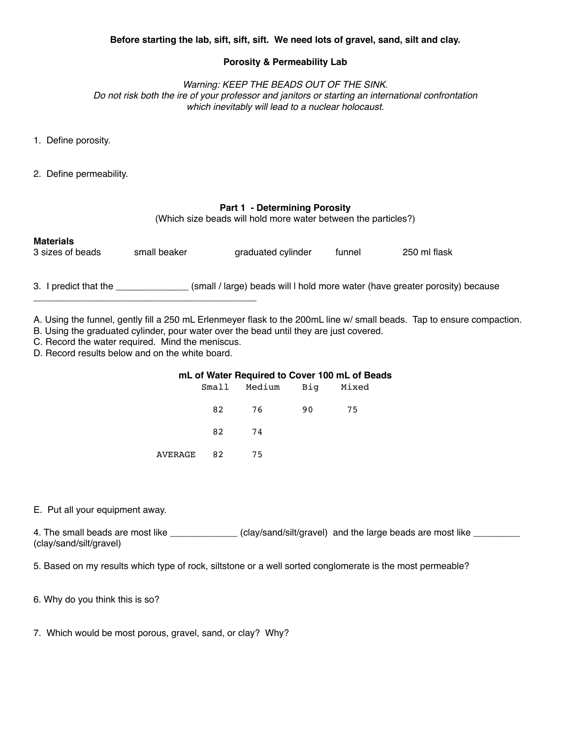# **Porosity & Permeability Lab**

*Warning: KEEP THE BEADS OUT OF THE SINK. Do not risk both the ire of your professor and janitors or starting an international confrontation which inevitably will lead to a nuclear holocaust.*

- 1. Define porosity.
- 2. Define permeability.

## **Part 1 - Determining Porosity**

(Which size beads will hold more water between the particles?)

| <b>Materials</b> |              |                    |        |              |
|------------------|--------------|--------------------|--------|--------------|
| 3 sizes of beads | small beaker | graduated cylinder | funnel | 250 ml flask |

3. I predict that the \_\_\_\_\_\_\_\_\_\_\_\_\_\_ (small / large) beads will l hold more water (have greater porosity) because

A. Using the funnel, gently fill a 250 mL Erlenmeyer flask to the 200mL line w/ small beads. Tap to ensure compaction.

B. Using the graduated cylinder, pour water over the bead until they are just covered.

C. Record the water required. Mind the meniscus.

\_\_\_\_\_\_\_\_\_\_\_\_\_\_\_\_\_\_\_\_\_\_\_\_\_\_\_\_\_\_\_\_\_\_\_\_\_\_\_\_\_\_\_

D. Record results below and on the white board.

## **mL of Water Required to Cover 100 mL of Beads**

|            | Small Medium Big Mixed |  |
|------------|------------------------|--|
|            | 82 76 90 75            |  |
|            | 82 74                  |  |
| AVERAGE 82 | 75                     |  |

## E. Put all your equipment away.

4. The small beads are most like \_\_\_\_\_\_\_\_\_\_\_\_\_\_\_ (clay/sand/silt/gravel) and the large beads are most like \_\_\_\_\_\_\_ (clay/sand/silt/gravel)

5. Based on my results which type of rock, siltstone or a well sorted conglomerate is the most permeable?

6. Why do you think this is so?

7. Which would be most porous, gravel, sand, or clay? Why?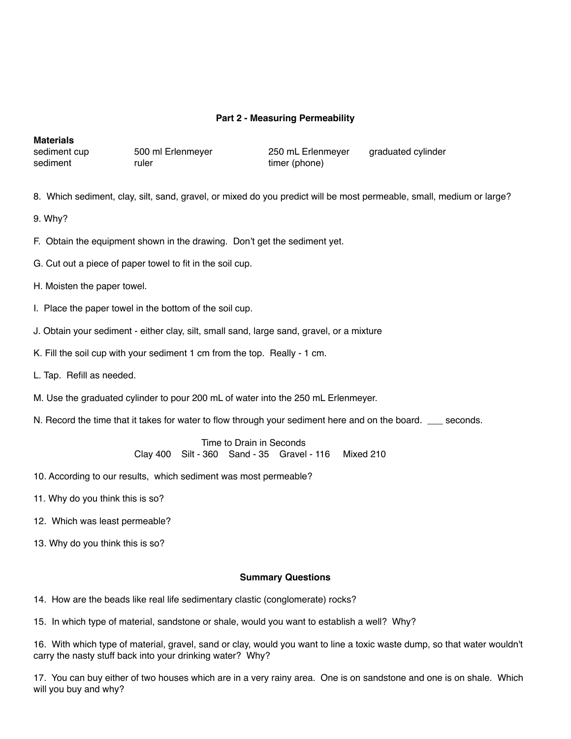## **Part 2 - Measuring Permeability**

## **Materials**

sediment **because that the contract in the sediment**  $\blacksquare$  timer (phone)

sediment cup  $\frac{500 \text{ ml}}{250 \text{ ml}}$  250 mL Erlenmeyer graduated cylinder

8. Which sediment, clay, silt, sand, gravel, or mixed do you predict will be most permeable, small, medium or large?

9. Why?

F. Obtain the equipment shown in the drawing. Don't get the sediment yet.

G. Cut out a piece of paper towel to fit in the soil cup.

## H. Moisten the paper towel.

- I. Place the paper towel in the bottom of the soil cup.
- J. Obtain your sediment either clay, silt, small sand, large sand, gravel, or a mixture
- K. Fill the soil cup with your sediment 1 cm from the top. Really 1 cm.
- L. Tap. Refill as needed.
- M. Use the graduated cylinder to pour 200 mL of water into the 250 mL Erlenmeyer.
- N. Record the time that it takes for water to flow through your sediment here and on the board. \_\_\_ seconds.

Time to Drain in Seconds ! ! Clay 400 Silt - 360 Sand - 35 Gravel - 116 Mixed 210

- 10. According to our results, which sediment was most permeable?
- 11. Why do you think this is so?
- 12. Which was least permeable?
- 13. Why do you think this is so?

## **Summary Questions**

14. How are the beads like real life sedimentary clastic (conglomerate) rocks?

15. In which type of material, sandstone or shale, would you want to establish a well? Why?

16. With which type of material, gravel, sand or clay, would you want to line a toxic waste dump, so that water wouldn't carry the nasty stuff back into your drinking water? Why?

17. You can buy either of two houses which are in a very rainy area. One is on sandstone and one is on shale. Which will you buy and why?